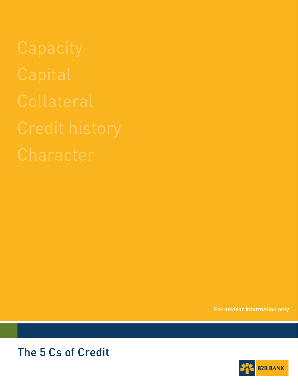**For advisor information only**



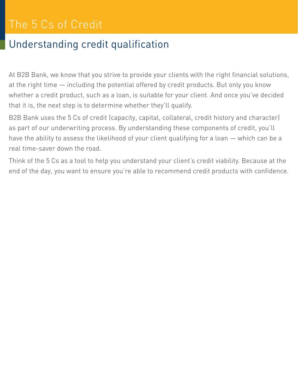## Understanding credit qualification

At B2B Bank, we know that you strive to provide your clients with the right financial solutions, at the right time — including the potential offered by credit products. But only you know whether a credit product, such as a loan, is suitable for your client. And once you've decided that it is, the next step is to determine whether they'll qualify.

B2B Bank uses the 5 Cs of credit (capacity, capital, collateral, credit history and character) as part of our underwriting process. By understanding these components of credit, you'll have the ability to assess the likelihood of your client qualifying for a loan — which can be a real time-saver down the road.

Think of the 5 Cs as a tool to help you understand your client's credit viability. Because at the end of the day, you want to ensure you're able to recommend credit products with confidence.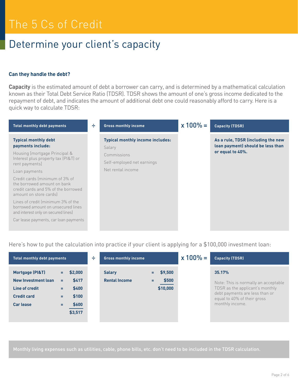### Determine your client's capacity

### **Can they handle the debt?**

**Capacity** is the estimated amount of debt a borrower can carry, and is determined by a mathematical calculation known as their Total Debt Service Ratio (TDSR). TDSR shows the amount of one's gross income dedicated to the repayment of debt, and indicates the amount of additional debt one could reasonably afford to carry. Here is a quick way to calculate TDSR:

| <b>Total monthly debt payments</b>                                                                                             | ÷ | <b>Gross monthly income</b>                       | $x 100\% =$ | <b>Capacity (TDSR)</b>                                                  |
|--------------------------------------------------------------------------------------------------------------------------------|---|---------------------------------------------------|-------------|-------------------------------------------------------------------------|
| <b>Typical monthly debt</b><br>payments include:                                                                               |   | <b>Typical monthly income includes:</b><br>Salary |             | As a rule, TDSR (including the new<br>loan payment) should be less than |
| Housing [mortgage Principal &<br>Interest plus property tax (PI&T) or<br>rent payments]                                        |   | Commissions<br>Self-employed net earnings         |             | or equal to 40%.                                                        |
| Loan payments                                                                                                                  |   | Net rental income                                 |             |                                                                         |
| Credit cards (minimum of 3% of<br>the borrowed amount on bank<br>credit cards and 5% of the borrowed<br>amount on store cards) |   |                                                   |             |                                                                         |
| Lines of credit (minimum 3% of the<br>borrowed amount on unsecured lines<br>and interest only on secured lines)                |   |                                                   |             |                                                                         |
| Car lease payments, car loan payments                                                                                          |   |                                                   |             |                                                                         |

Here's how to put the calculation into practice if your client is applying for a \$100,000 investment loan:

| <b>Total monthly debt payments</b>                                                                 |                                                                                                    | ÷ | <b>Gross monthly income</b>           |                                        |  |                                                                                                                                                                       | $x 100\% =$ | <b>Capacity (TDSR)</b> |
|----------------------------------------------------------------------------------------------------|----------------------------------------------------------------------------------------------------|---|---------------------------------------|----------------------------------------|--|-----------------------------------------------------------------------------------------------------------------------------------------------------------------------|-------------|------------------------|
| Mortgage (PI&T)<br>New Investment loan<br>Line of credit<br><b>Credit card</b><br><b>Car lease</b> | \$2,000<br>Ξ.<br>\$417<br>Ξ.<br>\$400<br>Ξ.<br>\$100<br>Ξ.<br>\$600<br>Ξ.<br>$\frac{1}{1}$ \$3,517 |   | <b>Salary</b><br><b>Rental Income</b> | \$9,500<br>=<br>\$500<br>÷<br>\$10,000 |  | 35.17%<br>Note: This is normally an acceptable<br>TDSR as the applicant's monthly<br>debt payments are less than or<br>equal to 40% of their gross<br>monthly income. |             |                        |

Monthly living expenses such as utilities, cable, phone bills, etc. don't need to be included in the TDSR calculation.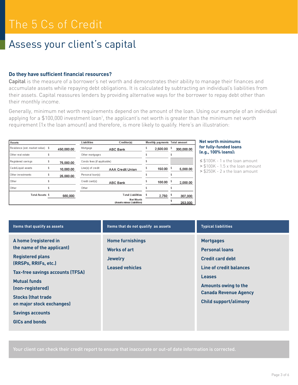### Assess your client's capital

### **Do they have sufficient financial resources?**

Capital is the measure of a borrower's net worth and demonstrates their ability to manage their finances and accumulate assets while repaying debt obligations. It is calculated by subtracting an individual's liabilities from their assets. Capital reassures lenders by providing alternative ways for the borrower to repay debt other than their monthly income.

Generally, minimum net worth requirements depend on the amount of the loan. Using our example of an individual applying for a \$100,000 investment loan<sup>1</sup>, the applicant's net worth is greater than the minimum net worth requirement (1x the loan amount) and therefore, is more likely to qualify. Here's an illustration:

| <b>Assets</b>                    |            | Liabilities                | Creditor(s)                             | Monthly payments       | <b>Total amount</b> |
|----------------------------------|------------|----------------------------|-----------------------------------------|------------------------|---------------------|
| Residence (est. market value) \$ | 450,000.00 | Mortgage                   | <b>ABC Bank</b>                         | 2,500.00               | 300,000.00          |
| Other real estate                |            | Other mortgages            |                                         |                        |                     |
| Registered savings               | 75,000.00  | Condo fees (if applicable) |                                         |                        |                     |
| Cash/Liquid assets               | 10,000.00  | Line(s) of credit          | <b>AAA Credit Union</b>                 | $150.00$ $$$           | 5,000.00            |
| Other investments                | 25,000.00  | Personal loan(s)           |                                         |                        |                     |
| Other                            |            | Credit card(s)             | <b>ABC Bank</b>                         | $100.00$ $\frac{5}{3}$ | 2,000.00            |
| Other                            |            | Other                      |                                         |                        |                     |
| <b>Total Assets \$</b>           | 560,000    |                            | <b>Total Liabilities</b>                | 2,750                  | 307,000             |
|                                  |            |                            | Net Worth<br>(Assets minus Liabilities) |                        | 253,000             |

#### **Net worth minimums for fully-funded loans (e.g., 100% loans):**

≤ \$100K - 1 x the loan amount

> \$100K - 1.5 x the loan amount

> \$250K - 2 x the loan amount

| Items that qualify as assets                                                                                                                                                                                                                                                                                | Items that do not qualify as assets                                                        | <b>Typical liabilities</b>                                                                                                                                                                                      |
|-------------------------------------------------------------------------------------------------------------------------------------------------------------------------------------------------------------------------------------------------------------------------------------------------------------|--------------------------------------------------------------------------------------------|-----------------------------------------------------------------------------------------------------------------------------------------------------------------------------------------------------------------|
| A home (registered in<br>the name of the applicant)<br><b>Registered plans</b><br>(RRSPs, RRIFs, etc.)<br><b>Tax-free savings accounts (TFSA)</b><br><b>Mutual funds</b><br>(non-registered)<br><b>Stocks (that trade)</b><br>on major stock exchanges)<br><b>Savings accounts</b><br><b>GICs and bonds</b> | <b>Home furnishings</b><br><b>Works of art</b><br><b>Jewelry</b><br><b>Leased vehicles</b> | <b>Mortgages</b><br><b>Personal loans</b><br><b>Credit card debt</b><br>Line of credit balances<br><b>Leases</b><br><b>Amounts owing to the</b><br><b>Canada Revenue Agency</b><br><b>Child support/alimony</b> |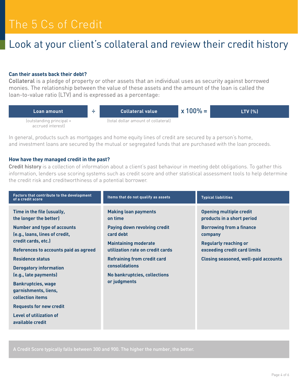### Look at your client's collateral and review their credit history

#### **Can their assets back their debt?**

Collateral is a pledge of property or other assets that an individual uses as security against borrowed monies. The relationship between the value of these assets and the amount of the loan is called the loan-to-value ratio (LTV) and is expressed as a percentage:



In general, products such as mortgages and home equity lines of credit are secured by a person's home, and investment loans are secured by the mutual or segregated funds that are purchased with the loan proceeds.

#### **How have they managed credit in the past?**

Credit history is a collection of information about a client's past behaviour in meeting debt obligations. To gather this information, lenders use scoring systems such as credit score and other statistical assessment tools to help determine the credit risk and creditworthiness of a potential borrower.

| Factors that contribute to the development<br>of a credit score                                                                                        | Items that do not qualify as assets                                                                                                             | <b>Typical liabilities</b>                                                                                                                 |
|--------------------------------------------------------------------------------------------------------------------------------------------------------|-------------------------------------------------------------------------------------------------------------------------------------------------|--------------------------------------------------------------------------------------------------------------------------------------------|
| Time in the file (usually,<br>the longer the better)<br><b>Number and type of accounts</b><br>(e.g., loans, lines of credit,<br>credit cards, etc.)    | <b>Making loan payments</b><br>on time<br>Paying down revolving credit<br>card debt<br><b>Maintaining moderate</b>                              | <b>Opening multiple credit</b><br>products in a short period<br><b>Borrowing from a finance</b><br>company<br><b>Regularly reaching or</b> |
| References to accounts paid as agreed<br><b>Residence status</b><br><b>Derogatory information</b><br>(e.g., late payments)                             | utilization rate on credit cards<br><b>Refraining from credit card</b><br><b>consolidations</b><br>No bankruptcies, collections<br>or judgments | exceeding credit card limits<br><b>Closing seasoned, well-paid accounts</b>                                                                |
| <b>Bankruptcies, wage</b><br>garnishments, liens,<br>collection items<br><b>Requests for new credit</b><br>Level of utilization of<br>available credit |                                                                                                                                                 |                                                                                                                                            |

A Credit Score typically falls between 300 and 900. The higher the number, the better.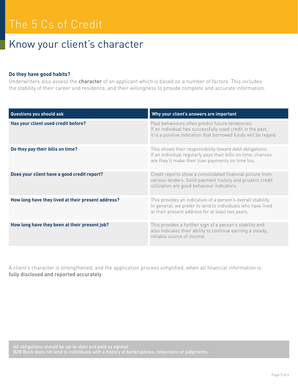### Know your client's character

#### **Do they have good habits?**

Underwriters also assess the **character** of an applicant which is based on a number of factors. This includes the stability of their career and residence, and their willingness to provide complete and accurate information.

| Questions you should ask                           | Why your client's answers are important                                                                                                                                           |
|----------------------------------------------------|-----------------------------------------------------------------------------------------------------------------------------------------------------------------------------------|
| Has your client used credit before?                | Past behaviours often predict future tendencies.<br>If an individual has successfully used credit in the past,<br>it is a positive indication that borrowed funds will be repaid. |
| Do they pay their bills on time?                   | This shows their responsibility toward debt obligations.<br>If an individual regularly pays their bills on time, chances<br>are they'll make their loan payments on time too.     |
| Does your client have a good credit report?        | Credit reports show a consolidated financial picture from<br>various lenders. Solid payment history and prudent credit<br>utilization are good behaviour indicators.              |
| How long have they lived at their present address? | This provides an indication of a person's overall stability.<br>In general, we prefer to lend to individuals who have lived<br>at their present address for at least two years.   |
| How long have they been at their present job?      | This provides a further sign of a person's stability and<br>also indicates their ability to continue earning a steady,<br>reliable source of income.                              |

A client's character is strengthened, and the application process simplified, when all financial information is fully disclosed and reported accurately.

All obligations should be up-to-date and paid as agreed. B2B Bank does not lend to individuals with a history of bankruptcies, collections or judgments.